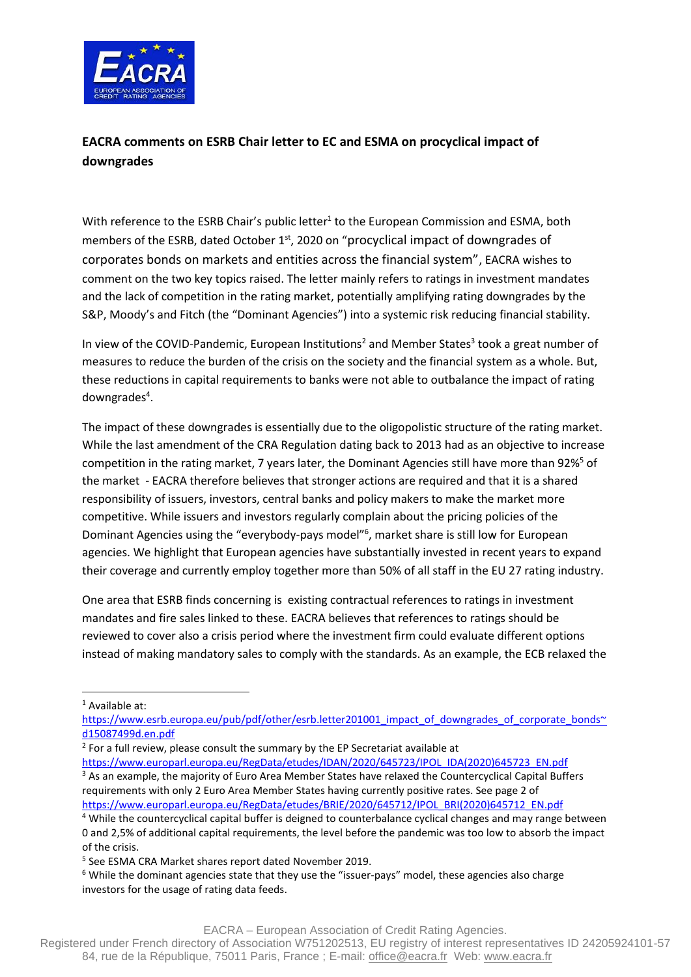

## **EACRA comments on ESRB Chair letter to EC and ESMA on procyclical impact of downgrades**

With reference to the ESRB Chair's public letter<sup>1</sup> to the European Commission and ESMA, both members of the ESRB, dated October  $1<sup>st</sup>$ , 2020 on "procyclical impact of downgrades of corporates bonds on markets and entities across the financial system", EACRA wishes to comment on the two key topics raised. The letter mainly refers to ratings in investment mandates and the lack of competition in the rating market, potentially amplifying rating downgrades by the S&P, Moody's and Fitch (the "Dominant Agencies") into a systemic risk reducing financial stability.

In view of the COVID-Pandemic, European Institutions<sup>2</sup> and Member States<sup>3</sup> took a great number of measures to reduce the burden of the crisis on the society and the financial system as a whole. But, these reductions in capital requirements to banks were not able to outbalance the impact of rating downgrades<sup>4</sup>.

The impact of these downgrades is essentially due to the oligopolistic structure of the rating market. While the last amendment of the CRA Regulation dating back to 2013 had as an objective to increase competition in the rating market, 7 years later, the Dominant Agencies still have more than 92%<sup>5</sup> of the market - EACRA therefore believes that stronger actions are required and that it is a shared responsibility of issuers, investors, central banks and policy makers to make the market more competitive. While issuers and investors regularly complain about the pricing policies of the Dominant Agencies using the "everybody-pays model"<sup>6</sup>, market share is still low for European agencies. We highlight that European agencies have substantially invested in recent years to expand their coverage and currently employ together more than 50% of all staff in the EU 27 rating industry.

One area that ESRB finds concerning is existing contractual references to ratings in investment mandates and fire sales linked to these. EACRA believes that references to ratings should be reviewed to cover also a crisis period where the investment firm could evaluate different options instead of making mandatory sales to comply with the standards. As an example, the ECB relaxed the

 $<sup>1</sup>$  Available at:</sup>

 $2$  For a full review, please consult the summary by the EP Secretariat available at [https://www.europarl.europa.eu/RegData/etudes/IDAN/2020/645723/IPOL\\_IDA\(2020\)645723\\_EN.pdf](https://www.europarl.europa.eu/RegData/etudes/IDAN/2020/645723/IPOL_IDA(2020)645723_EN.pdf) <sup>3</sup> As an example, the majority of Euro Area Member States have relaxed the Countercyclical Capital Buffers requirements with only 2 Euro Area Member States having currently positive rates. See page 2 of

[https://www.europarl.europa.eu/RegData/etudes/BRIE/2020/645712/IPOL\\_BRI\(2020\)645712\\_EN.pdf](https://www.europarl.europa.eu/RegData/etudes/BRIE/2020/645712/IPOL_BRI(2020)645712_EN.pdf)

[https://www.esrb.europa.eu/pub/pdf/other/esrb.letter201001\\_impact\\_of\\_downgrades\\_of\\_corporate\\_bonds~](https://www.esrb.europa.eu/pub/pdf/other/esrb.letter201001_impact_of_downgrades_of_corporate_bonds~d15087499d.en.pdf) [d15087499d.en.pdf](https://www.esrb.europa.eu/pub/pdf/other/esrb.letter201001_impact_of_downgrades_of_corporate_bonds~d15087499d.en.pdf)

<sup>4</sup> While the countercyclical capital buffer is deigned to counterbalance cyclical changes and may range between 0 and 2,5% of additional capital requirements, the level before the pandemic was too low to absorb the impact of the crisis.

<sup>5</sup> See ESMA CRA Market shares report dated November 2019.

<sup>&</sup>lt;sup>6</sup> While the dominant agencies state that they use the "issuer-pays" model, these agencies also charge investors for the usage of rating data feeds.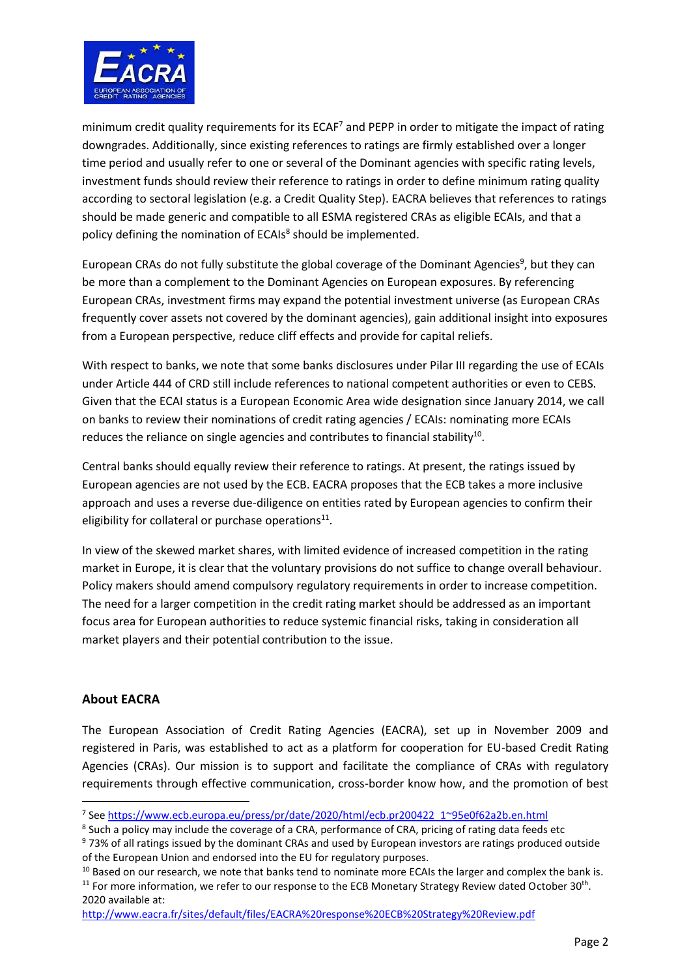

minimum credit quality requirements for its ECAF<sup>7</sup> and PEPP in order to mitigate the impact of rating downgrades. Additionally, since existing references to ratings are firmly established over a longer time period and usually refer to one or several of the Dominant agencies with specific rating levels, investment funds should review their reference to ratings in order to define minimum rating quality according to sectoral legislation (e.g. a Credit Quality Step). EACRA believes that references to ratings should be made generic and compatible to all ESMA registered CRAs as eligible ECAIs, and that a policy defining the nomination of ECAIs<sup>8</sup> should be implemented.

European CRAs do not fully substitute the global coverage of the Dominant Agencies<sup>9</sup>, but they can be more than a complement to the Dominant Agencies on European exposures. By referencing European CRAs, investment firms may expand the potential investment universe (as European CRAs frequently cover assets not covered by the dominant agencies), gain additional insight into exposures from a European perspective, reduce cliff effects and provide for capital reliefs.

With respect to banks, we note that some banks disclosures under Pilar III regarding the use of ECAIs under Article 444 of CRD still include references to national competent authorities or even to CEBS. Given that the ECAI status is a European Economic Area wide designation since January 2014, we call on banks to review their nominations of credit rating agencies / ECAIs: nominating more ECAIs reduces the reliance on single agencies and contributes to financial stability<sup>10</sup>.

Central banks should equally review their reference to ratings. At present, the ratings issued by European agencies are not used by the ECB. EACRA proposes that the ECB takes a more inclusive approach and uses a reverse due-diligence on entities rated by European agencies to confirm their eligibility for collateral or purchase operations<sup>11</sup>.

In view of the skewed market shares, with limited evidence of increased competition in the rating market in Europe, it is clear that the voluntary provisions do not suffice to change overall behaviour. Policy makers should amend compulsory regulatory requirements in order to increase competition. The need for a larger competition in the credit rating market should be addressed as an important focus area for European authorities to reduce systemic financial risks, taking in consideration all market players and their potential contribution to the issue.

## **About EACRA**

The European Association of Credit Rating Agencies (EACRA), set up in November 2009 and registered in Paris, was established to act as a platform for cooperation for EU-based Credit Rating Agencies (CRAs). Our mission is to support and facilitate the compliance of CRAs with regulatory requirements through effective communication, cross-border know how, and the promotion of best

<sup>8</sup> Such a policy may include the coverage of a CRA, performance of CRA, pricing of rating data feeds etc

2020 available at: <http://www.eacra.fr/sites/default/files/EACRA%20response%20ECB%20Strategy%20Review.pdf>

<sup>&</sup>lt;sup>7</sup> See [https://www.ecb.europa.eu/press/pr/date/2020/html/ecb.pr200422\\_1~95e0f62a2b.en.html](https://www.ecb.europa.eu/press/pr/date/2020/html/ecb.pr200422_1~95e0f62a2b.en.html)

<sup>&</sup>lt;sup>9</sup> 73% of all ratings issued by the dominant CRAs and used by European investors are ratings produced outside of the European Union and endorsed into the EU for regulatory purposes.

<sup>&</sup>lt;sup>10</sup> Based on our research, we note that banks tend to nominate more ECAIs the larger and complex the bank is.  $11$  For more information, we refer to our response to the ECB Monetary Strategy Review dated October 30<sup>th</sup>.